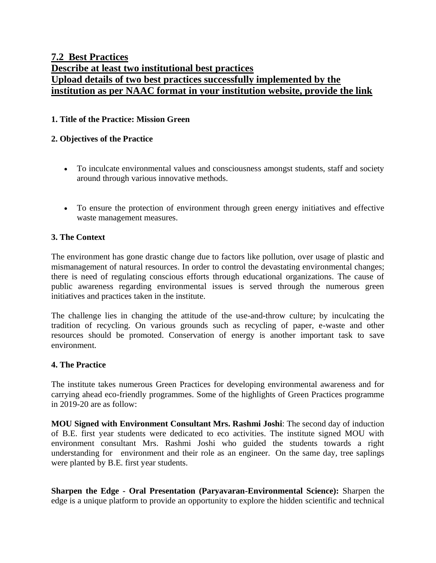# **7.2 Best Practices Describe at least two institutional best practices Upload details of two best practices successfully implemented by the institution as per NAAC format in your institution website, provide the link**

## **1. Title of the Practice: Mission Green**

## **2. Objectives of the Practice**

- To inculcate environmental values and consciousness amongst students, staff and society around through various innovative methods.
- To ensure the protection of environment through green energy initiatives and effective waste management measures.

## **3. The Context**

The environment has gone drastic change due to factors like pollution, over usage of plastic and mismanagement of natural resources. In order to control the devastating environmental changes; there is need of regulating conscious efforts through educational organizations. The cause of public awareness regarding environmental issues is served through the numerous green initiatives and practices taken in the institute.

The challenge lies in changing the attitude of the use-and-throw culture; by inculcating the tradition of recycling. On various grounds such as recycling of paper, e-waste and other resources should be promoted. Conservation of energy is another important task to save environment.

#### **4. The Practice**

The institute takes numerous Green Practices for developing environmental awareness and for carrying ahead eco-friendly programmes. Some of the highlights of Green Practices programme in 2019-20 are as follow:

**MOU Signed with Environment Consultant Mrs. Rashmi Joshi**: The second day of induction of B.E. first year students were dedicated to eco activities. The institute signed MOU with environment consultant Mrs. Rashmi Joshi who guided the students towards a right understanding for environment and their role as an engineer. On the same day, tree saplings were planted by B.E. first year students.

**Sharpen the Edge - Oral Presentation (Paryavaran-Environmental Science):** Sharpen the edge is a unique platform to provide an opportunity to explore the hidden scientific and technical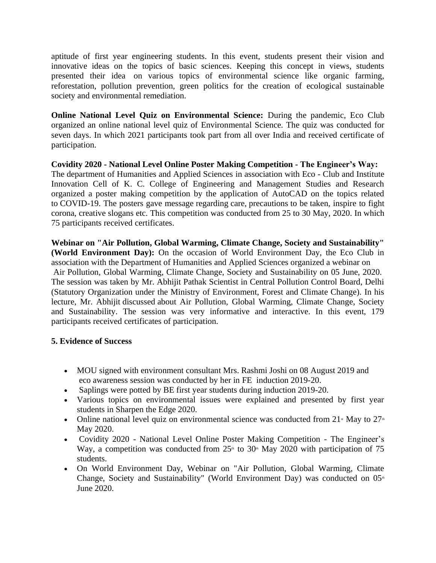aptitude of first year engineering students. In this event, students present their vision and innovative ideas on the topics of basic sciences. Keeping this concept in views, students presented their idea on various topics of environmental science like organic farming, reforestation, pollution prevention, green politics for the creation of ecological sustainable society and environmental remediation.

**Online National Level Quiz on Environmental Science:** During the pandemic, Eco Club organized an online national level quiz of Environmental Science. The quiz was conducted for seven days. In which 2021 participants took part from all over India and received certificate of participation.

**Covidity 2020 - National Level Online Poster Making Competition - The Engineer's Way:** The department of Humanities and Applied Sciences in association with Eco - Club and Institute Innovation Cell of K. C. College of Engineering and Management Studies and Research organized a poster making competition by the application of AutoCAD on the topics related to COVID-19. The posters gave message regarding care, precautions to be taken, inspire to fight corona, creative slogans etc. This competition was conducted from 25 to 30 May, 2020. In which 75 participants received certificates.

**Webinar on "Air Pollution, Global Warming, Climate Change, Society and Sustainability" (World Environment Day):** On the occasion of World Environment Day, the Eco Club in association with the Department of Humanities and Applied Sciences organized a webinar on Air Pollution, Global Warming, Climate Change, Society and Sustainability on 05 June, 2020. The session was taken by Mr. Abhijit Pathak Scientist in Central Pollution Control Board, Delhi (Statutory Organization under the Ministry of Environment, Forest and Climate Change). In his lecture, Mr. Abhijit discussed about Air Pollution, Global Warming, Climate Change, Society and Sustainability. The session was very informative and interactive. In this event, 179 participants received certificates of participation.

#### **5. Evidence of Success**

- MOU signed with environment consultant Mrs. Rashmi Joshi on 08 August 2019 and eco awareness session was conducted by her in FE induction 2019-20.
- Saplings were potted by BE first year students during induction 2019-20.
- Various topics on environmental issues were explained and presented by first year students in Sharpen the Edge 2020.
- Online national level quiz on environmental science was conducted from  $21$ <sup>\*</sup> May to  $27$ <sup>\*</sup> May 2020.
- Covidity 2020 National Level Online Poster Making Competition The Engineer's Way, a competition was conducted from  $25<sup>th</sup>$  to  $30<sup>th</sup>$  May 2020 with participation of 75 students.
- On World Environment Day, Webinar on "Air Pollution, Global Warming, Climate Change, Society and Sustainability" (World Environment Day) was conducted on  $05<sup>th</sup>$ June 2020.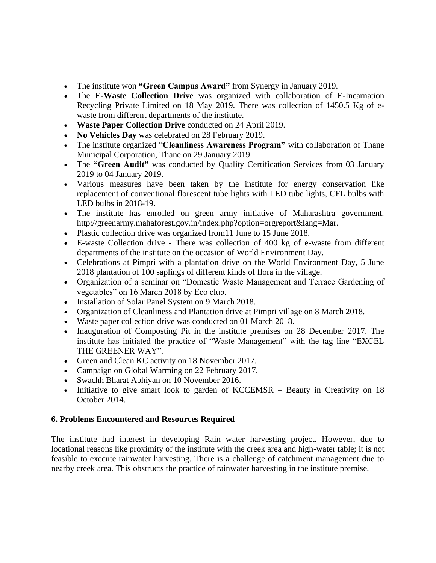- The institute won **"Green Campus Award"** from Synergy in January 2019.
- The **E-Waste Collection Drive** was organized with collaboration of E-Incarnation Recycling Private Limited on 18 May 2019. There was collection of 1450.5 Kg of ewaste from different departments of the institute.
- **Waste Paper Collection Drive** conducted on 24 April 2019.
- **No Vehicles Day** was celebrated on 28 February 2019.
- The institute organized "**Cleanliness Awareness Program"** with collaboration of Thane Municipal Corporation, Thane on 29 January 2019.
- The **"Green Audit"** was conducted by Quality Certification Services from 03 January 2019 to 04 January 2019.
- Various measures have been taken by the institute for energy conservation like replacement of conventional florescent tube lights with LED tube lights, CFL bulbs with LED bulbs in 2018-19.
- The institute has enrolled on green army initiative of Maharashtra government. http://greenarmy.mahaforest.gov.in/index.php?option=orgreport&lang=Mar.
- Plastic collection drive was organized from 11 June to 15 June 2018.
- E-waste Collection drive There was collection of 400 kg of e-waste from different departments of the institute on the occasion of World Environment Day.
- Celebrations at Pimpri with a plantation drive on the World Environment Day, 5 June 2018 plantation of 100 saplings of different kinds of flora in the village.
- Organization of a seminar on "Domestic Waste Management and Terrace Gardening of vegetables" on 16 March 2018 by Eco club.
- Installation of Solar Panel System on 9 March 2018.
- Organization of Cleanliness and Plantation drive at Pimpri village on 8 March 2018.
- Waste paper collection drive was conducted on 01 March 2018.
- Inauguration of Composting Pit in the institute premises on 28 December 2017. The institute has initiated the practice of "Waste Management" with the tag line "EXCEL THE GREENER WAY".
- Green and Clean KC activity on 18 November 2017.
- Campaign on Global Warming on 22 February 2017.
- Swachh Bharat Abhiyan on 10 November 2016.
- Initiative to give smart look to garden of KCCEMSR Beauty in Creativity on 18 October 2014.

#### **6. Problems Encountered and Resources Required**

The institute had interest in developing Rain water harvesting project. However, due to locational reasons like proximity of the institute with the creek area and high-water table; it is not feasible to execute rainwater harvesting. There is a challenge of catchment management due to nearby creek area. This obstructs the practice of rainwater harvesting in the institute premise.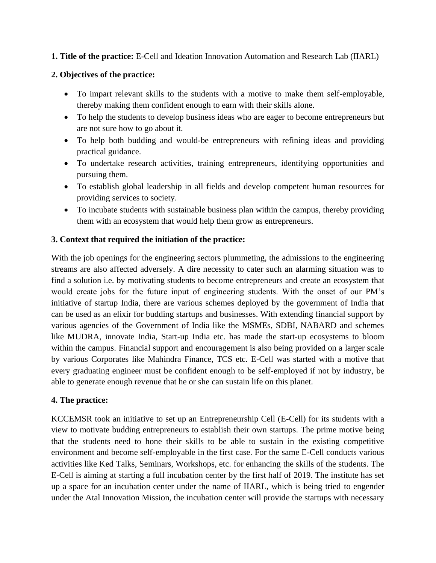## **1. Title of the practice:** E-Cell and Ideation Innovation Automation and Research Lab (IIARL)

#### **2. Objectives of the practice:**

- To impart relevant skills to the students with a motive to make them self-employable, thereby making them confident enough to earn with their skills alone.
- To help the students to develop business ideas who are eager to become entrepreneurs but are not sure how to go about it.
- To help both budding and would-be entrepreneurs with refining ideas and providing practical guidance.
- To undertake research activities, training entrepreneurs, identifying opportunities and pursuing them.
- To establish global leadership in all fields and develop competent human resources for providing services to society.
- To incubate students with sustainable business plan within the campus, thereby providing them with an ecosystem that would help them grow as entrepreneurs.

## **3. Context that required the initiation of the practice:**

With the job openings for the engineering sectors plummeting, the admissions to the engineering streams are also affected adversely. A dire necessity to cater such an alarming situation was to find a solution i.e. by motivating students to become entrepreneurs and create an ecosystem that would create jobs for the future input of engineering students. With the onset of our PM's initiative of startup India, there are various schemes deployed by the government of India that can be used as an elixir for budding startups and businesses. With extending financial support by various agencies of the Government of India like the MSMEs, SDBI, NABARD and schemes like MUDRA, innovate India, Start-up India etc. has made the start-up ecosystems to bloom within the campus. Financial support and encouragement is also being provided on a larger scale by various Corporates like Mahindra Finance, TCS etc. E-Cell was started with a motive that every graduating engineer must be confident enough to be self-employed if not by industry, be able to generate enough revenue that he or she can sustain life on this planet.

## **4. The practice:**

KCCEMSR took an initiative to set up an Entrepreneurship Cell (E-Cell) for its students with a view to motivate budding entrepreneurs to establish their own startups. The prime motive being that the students need to hone their skills to be able to sustain in the existing competitive environment and become self-employable in the first case. For the same E-Cell conducts various activities like Ked Talks, Seminars, Workshops, etc. for enhancing the skills of the students. The E-Cell is aiming at starting a full incubation center by the first half of 2019. The institute has set up a space for an incubation center under the name of IIARL, which is being tried to engender under the Atal Innovation Mission, the incubation center will provide the startups with necessary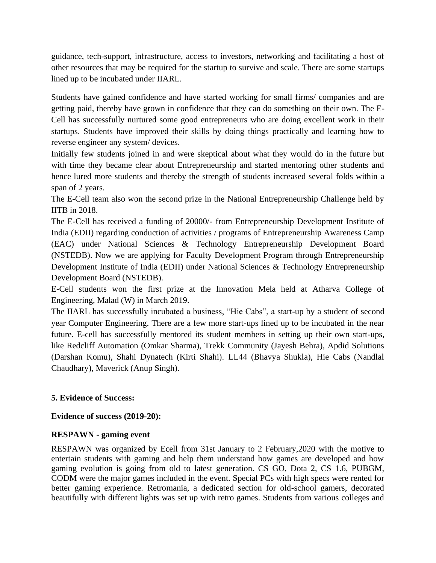guidance, tech-support, infrastructure, access to investors, networking and facilitating a host of other resources that may be required for the startup to survive and scale. There are some startups lined up to be incubated under IIARL.

Students have gained confidence and have started working for small firms/ companies and are getting paid, thereby have grown in confidence that they can do something on their own. The E-Cell has successfully nurtured some good entrepreneurs who are doing excellent work in their startups. Students have improved their skills by doing things practically and learning how to reverse engineer any system/ devices.

Initially few students joined in and were skeptical about what they would do in the future but with time they became clear about Entrepreneurship and started mentoring other students and hence lured more students and thereby the strength of students increased several folds within a span of 2 years.

The E-Cell team also won the second prize in the National Entrepreneurship Challenge held by IITB in 2018.

The E-Cell has received a funding of 20000/- from Entrepreneurship Development Institute of India (EDII) regarding conduction of activities / programs of Entrepreneurship Awareness Camp (EAC) under National Sciences & Technology Entrepreneurship Development Board (NSTEDB). Now we are applying for Faculty Development Program through Entrepreneurship Development Institute of India (EDII) under National Sciences & Technology Entrepreneurship Development Board (NSTEDB).

E-Cell students won the first prize at the Innovation Mela held at Atharva College of Engineering, Malad (W) in March 2019.

The IIARL has successfully incubated a business, "Hie Cabs", a start-up by a student of second year Computer Engineering. There are a few more start-ups lined up to be incubated in the near future. E-cell has successfully mentored its student members in setting up their own start-ups, like Redcliff Automation (Omkar Sharma), Trekk Community (Jayesh Behra), Apdid Solutions (Darshan Komu), Shahi Dynatech (Kirti Shahi). LL44 (Bhavya Shukla), Hie Cabs (Nandlal Chaudhary), Maverick (Anup Singh).

## **5. Evidence of Success:**

## **Evidence of success (2019-20):**

#### **RESPAWN - gaming event**

RESPAWN was organized by Ecell from 31st January to 2 February,2020 with the motive to entertain students with gaming and help them understand how games are developed and how gaming evolution is going from old to latest generation. CS GO, Dota 2, CS 1.6, PUBGM, CODM were the major games included in the event. Special PCs with high specs were rented for better gaming experience. Retromania, a dedicated section for old-school gamers, decorated beautifully with different lights was set up with retro games. Students from various colleges and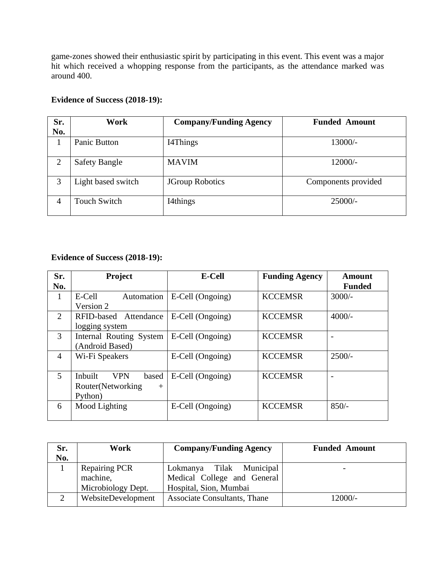game-zones showed their enthusiastic spirit by participating in this event. This event was a major hit which received a whopping response from the participants, as the attendance marked was around 400.

| Sr.<br>No.     | Work                 | <b>Company/Funding Agency</b> | <b>Funded Amount</b> |
|----------------|----------------------|-------------------------------|----------------------|
| 1              | Panic Button         | I4Things                      | $13000/-$            |
| $\overline{2}$ | <b>Safety Bangle</b> | <b>MAVIM</b>                  | $12000/-$            |
| 3              | Light based switch   | <b>JGroup Robotics</b>        | Components provided  |
| 4              | <b>Touch Switch</b>  | I4things                      | $25000/-$            |

# **Evidence of Success (2018-19):**

## **Evidence of Success (2018-19):**

| Sr.            | <b>Project</b>                 | <b>E-Cell</b>    | <b>Funding Agency</b> | Amount         |
|----------------|--------------------------------|------------------|-----------------------|----------------|
| No.            |                                |                  |                       | <b>Funded</b>  |
| 1              | E-Cell<br>Automation           | E-Cell (Ongoing) | <b>KCCEMSR</b>        | $3000/-$       |
|                | Version 2                      |                  |                       |                |
| 2              | RFID-based Attendance          | E-Cell (Ongoing) | <b>KCCEMSR</b>        | $4000/-$       |
|                | logging system                 |                  |                       |                |
| 3              | Internal Routing System        | E-Cell (Ongoing) | <b>KCCEMSR</b>        |                |
|                | (Android Based)                |                  |                       |                |
| $\overline{4}$ | Wi-Fi Speakers                 | E-Cell (Ongoing) | <b>KCCEMSR</b>        | $2500/-$       |
|                |                                |                  |                       |                |
| $\mathfrak{S}$ | <b>VPN</b><br>Inbuilt<br>based | E-Cell (Ongoing) | <b>KCCEMSR</b>        | $\overline{a}$ |
|                | Router(Networking<br>$^{+}$    |                  |                       |                |
|                | Python)                        |                  |                       |                |
| 6              | Mood Lighting                  | E-Cell (Ongoing) | <b>KCCEMSR</b>        | $850/-$        |
|                |                                |                  |                       |                |

| Sr. | Work                 | <b>Company/Funding Agency</b>       | <b>Funded Amount</b> |
|-----|----------------------|-------------------------------------|----------------------|
| No. |                      |                                     |                      |
|     | <b>Repairing PCR</b> | Tilak Municipal<br>Lokmanya         |                      |
|     | machine,             | Medical College and General         |                      |
|     | Microbiology Dept.   | Hospital, Sion, Mumbai              |                      |
|     | WebsiteDevelopment   | <b>Associate Consultants, Thane</b> | 12000/-              |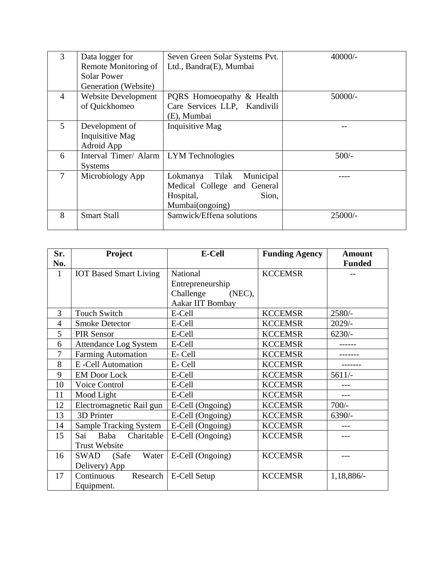| 3              | Data logger for<br>Remote Monitoring of | Seven Green Solar Systems Pvt.<br>Ltd., Bandra(E), Mumbai | $40000/-$ |
|----------------|-----------------------------------------|-----------------------------------------------------------|-----------|
|                | <b>Solar Power</b>                      |                                                           |           |
|                | Generation (Website)                    |                                                           |           |
| $\overline{4}$ | <b>Website Development</b>              | PQRS Homoeopathy & Health                                 | $50000/-$ |
|                | of Quickhomeo                           | Care Services LLP, Kandivili                              |           |
|                |                                         | (E), Mumbai                                               |           |
| $\mathfrak{H}$ | Development of                          | Inquisitive Mag                                           |           |
|                | Inquisitive Mag                         |                                                           |           |
|                | Adroid App                              |                                                           |           |
| 6              | Interval Timer/ Alarm                   | LYM Technologies                                          | $500/-$   |
|                | <b>Systems</b>                          |                                                           |           |
| 7              | Microbiology App                        | Tilak<br>Municipal<br>Lokmanya                            |           |
|                |                                         | Medical College and General                               |           |
|                |                                         | Hospital,<br>Sion,                                        |           |
|                |                                         | Mumbai(ongoing)                                           |           |
| 8              | <b>Smart Stall</b>                      | Samwick/Effena solutions                                  | 25000/-   |
|                |                                         |                                                           |           |

| Sr.            | Project                       | <b>E-Cell</b>       | <b>Funding Agency</b> | <b>Amount</b> |
|----------------|-------------------------------|---------------------|-----------------------|---------------|
| No.            |                               |                     |                       | <b>Funded</b> |
| $\mathbf{1}$   | <b>IOT Based Smart Living</b> | National            | <b>KCCEMSR</b>        |               |
|                |                               | Entrepreneurship    |                       |               |
|                |                               | Challenge<br>(NEC), |                       |               |
|                |                               | Aakar IIT Bombay    |                       |               |
| 3              | <b>Touch Switch</b>           | E-Cell              | <b>KCCEMSR</b>        | $2580/-$      |
| $\overline{4}$ | <b>Smoke Detector</b>         | E-Cell              | <b>KCCEMSR</b>        | $2029/-$      |
| 5              | <b>PIR Sensor</b>             | E-Cell              | <b>KCCEMSR</b>        | $6230/-$      |
| 6              | <b>Attendance Log System</b>  | E-Cell              | <b>KCCEMSR</b>        |               |
| 7              | <b>Farming Automation</b>     | E-Cell              | <b>KCCEMSR</b>        |               |
| 8              | <b>E</b> -Cell Automation     | E-Cell              | <b>KCCEMSR</b>        |               |
| 9              | <b>EM Door Lock</b>           | E-Cell              | <b>KCCEMSR</b>        | $5611/-$      |
| 10             | Voice Control                 | E-Cell              | <b>KCCEMSR</b>        |               |
| 11             | Mood Light                    | E-Cell              | <b>KCCEMSR</b>        | ---           |
| 12             | Electromagnetic Rail gun      | E-Cell (Ongoing)    | <b>KCCEMSR</b>        | $700/-$       |
| 13             | 3D Printer                    | E-Cell (Ongoing)    | <b>KCCEMSR</b>        | $6390/-$      |
| 14             | <b>Sample Tracking System</b> | E-Cell (Ongoing)    | <b>KCCEMSR</b>        |               |
| 15             | Sai<br>Baba<br>Charitable     | E-Cell (Ongoing)    | <b>KCCEMSR</b>        |               |
|                | <b>Trust Website</b>          |                     |                       |               |
| 16             | <b>SWAD</b><br>(Safe<br>Water | E-Cell (Ongoing)    | <b>KCCEMSR</b>        |               |
|                | Delivery) App                 |                     |                       |               |
| 17             | Continuous<br>Research        | E-Cell Setup        | <b>KCCEMSR</b>        | 1,18,886/-    |
|                | Equipment.                    |                     |                       |               |